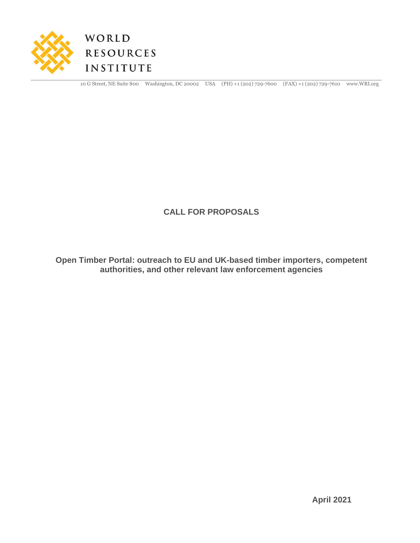



10 G Street, NE Suite 800 Washington, DC 20002 USA (PH) +1 (202) 729-7600 (FAX) +1 (202) 729-7610 www.WRI.org

### **CALL FOR PROPOSALS**

**Open Timber Portal: outreach to EU and UK-based timber importers, competent authorities, and other relevant law enforcement agencies**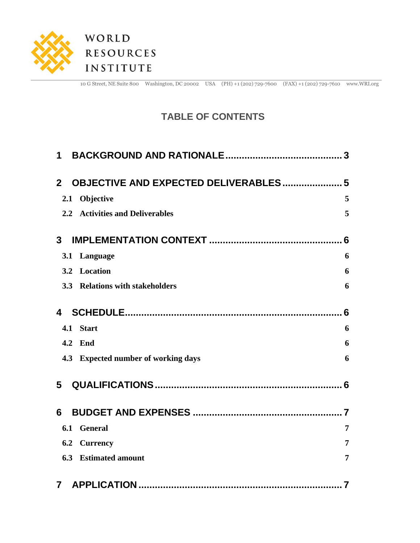

10 G Street, NE Suite 800 Washington, DC 20002 USA (PH) +1 (202) 729-7600 (FAX) +1 (202) 729-7610 www.WRI.org

## **TABLE OF CONTENTS**

| 1                                                            |   |
|--------------------------------------------------------------|---|
|                                                              |   |
| <b>OBJECTIVE AND EXPECTED DELIVERABLES 5</b><br>$\mathbf{2}$ |   |
| Objective<br>2.1                                             | 5 |
| 2.2 Activities and Deliverables                              | 5 |
| 3                                                            |   |
| Language<br>3.1                                              | 6 |
| Location<br>3.2                                              | 6 |
| 3.3<br><b>Relations with stakeholders</b>                    | 6 |
| 4                                                            | 6 |
| <b>Start</b><br>4.1                                          | 6 |
| 4.2<br>End                                                   | 6 |
| 4.3 Expected number of working days                          | 6 |
| 5                                                            |   |
| 6                                                            |   |
| <b>General</b><br>6.1                                        | 7 |
| 6.2<br><b>Currency</b>                                       | 7 |
| 6.3<br><b>Estimated amount</b>                               | 7 |
| 7                                                            |   |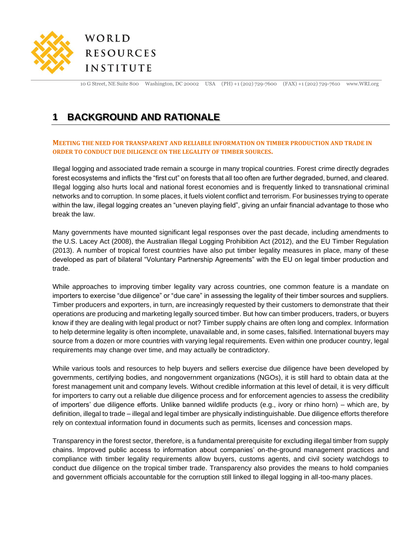

10 G Street, NE Suite 800 Washington, DC 20002 USA (PH) +1 (202) 729-7600 (FAX) +1 (202) 729-7610 www.WRI.org

## <span id="page-2-0"></span>**1 BACKGROUND AND RATIONALE**

#### **MEETING THE NEED FOR TRANSPARENT AND RELIABLE INFORMATION ON TIMBER PRODUCTION AND TRADE IN ORDER TO CONDUCT DUE DILIGENCE ON THE LEGALITY OF TIMBER SOURCES.**

Illegal logging and associated trade remain a scourge in many tropical countries. Forest crime directly degrades forest ecosystems and inflicts the "first cut" on forests that all too often are further degraded, burned, and cleared. Illegal logging also hurts local and national forest economies and is frequently linked to transnational criminal networks and to corruption. In some places, it fuels violent conflict and terrorism. For businesses trying to operate within the law, illegal logging creates an "uneven playing field", giving an unfair financial advantage to those who break the law.

Many governments have mounted significant legal responses over the past decade, including amendments to the U.S. Lacey Act (2008), the Australian Illegal Logging Prohibition Act (2012), and the EU Timber Regulation (2013). A number of tropical forest countries have also put timber legality measures in place, many of these developed as part of bilateral "Voluntary Partnership Agreements" with the EU on legal timber production and trade.

While approaches to improving timber legality vary across countries, one common feature is a mandate on importers to exercise "due diligence" or "due care" in assessing the legality of their timber sources and suppliers. Timber producers and exporters, in turn, are increasingly requested by their customers to demonstrate that their operations are producing and marketing legally sourced timber. But how can timber producers, traders, or buyers know if they are dealing with legal product or not? Timber supply chains are often long and complex. Information to help determine legality is often incomplete, unavailable and, in some cases, falsified. International buyers may source from a dozen or more countries with varying legal requirements. Even within one producer country, legal requirements may change over time, and may actually be contradictory.

While various tools and resources to help buyers and sellers exercise due diligence have been developed by governments, certifying bodies, and nongovernment organizations (NGOs), it is still hard to obtain data at the forest management unit and company levels. Without credible information at this level of detail, it is very difficult for importers to carry out a reliable due diligence process and for enforcement agencies to assess the credibility of importers' due diligence efforts. Unlike banned wildlife products (e.g., ivory or rhino horn) – which are, by definition, illegal to trade – illegal and legal timber are physically indistinguishable. Due diligence efforts therefore rely on contextual information found in documents such as permits, licenses and concession maps.

Transparency in the forest sector, therefore, is a fundamental prerequisite for excluding illegal timber from supply chains. Improved public access to information about companies' on-the-ground management practices and compliance with timber legality requirements allow buyers, customs agents, and civil society watchdogs to conduct due diligence on the tropical timber trade. Transparency also provides the means to hold companies and government officials accountable for the corruption still linked to illegal logging in all-too-many places.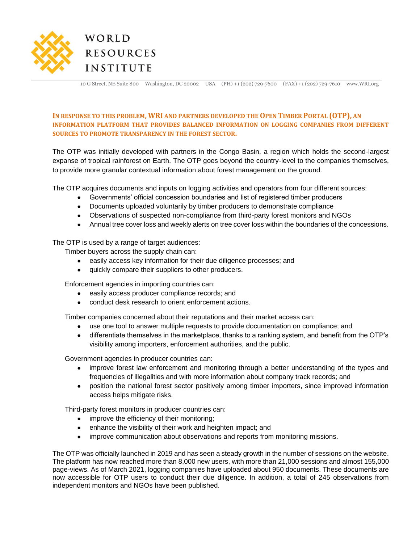

10 G Street, NE Suite 800 Washington, DC 20002 USA (PH) +1 (202) 729-7600 (FAX) +1 (202) 729-7610 www.WRI.org

#### **IN RESPONSE TO THIS PROBLEM, WRI AND PARTNERS DEVELOPED THE OPEN TIMBER PORTAL (OTP), AN INFORMATION PLATFORM THAT PROVIDES BALANCED INFORMATION ON LOGGING COMPANIES FROM DIFFERENT SOURCES TO PROMOTE TRANSPARENCY IN THE FOREST SECTOR.**

The OTP was initially developed with partners in the Congo Basin, a region which holds the second-largest expanse of tropical rainforest on Earth. The OTP goes beyond the country-level to the companies themselves, to provide more granular contextual information about forest management on the ground.

The OTP acquires documents and inputs on logging activities and operators from four different sources:

- Governments' official concession boundaries and list of registered timber producers
- Documents uploaded voluntarily by timber producers to demonstrate compliance
- Observations of suspected non-compliance from third-party forest monitors and NGOs
- Annual tree cover loss and weekly alerts on tree cover loss within the boundaries of the concessions.

#### The OTP is used by a range of target audiences:

Timber buyers across the supply chain can:

- easily access key information for their due diligence processes; and
- quickly compare their suppliers to other producers.

Enforcement agencies in importing countries can:

- easily access producer compliance records; and
- conduct desk research to orient enforcement actions.

Timber companies concerned about their reputations and their market access can:

- use one tool to answer multiple requests to provide documentation on compliance; and
- differentiate themselves in the marketplace, thanks to a ranking system, and benefit from the OTP's visibility among importers, enforcement authorities, and the public.

Government agencies in producer countries can:

- improve forest law enforcement and monitoring through a better understanding of the types and frequencies of illegalities and with more information about company track records; and
- position the national forest sector positively among timber importers, since improved information access helps mitigate risks.

Third-party forest monitors in producer countries can:

- improve the efficiency of their monitoring;
- enhance the visibility of their work and heighten impact; and
- improve communication about observations and reports from monitoring missions.

The OTP was officially launched in 2019 and has seen a steady growth in the number of sessions on the website. The platform has now reached more than 8,000 new users, with more than 21,000 sessions and almost 155,000 page-views. As of March 2021, logging companies have uploaded about 950 documents. These documents are now accessible for OTP users to conduct their due diligence. In addition, a total of 245 observations from independent monitors and NGOs have been published.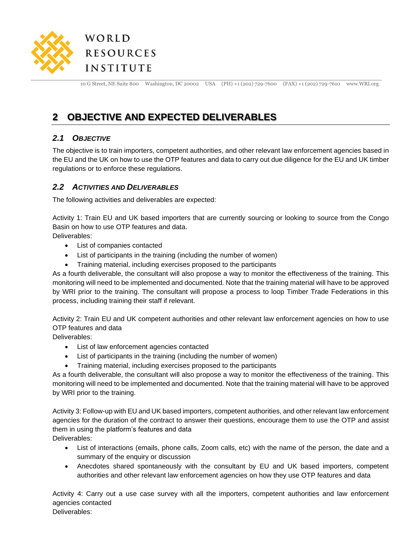

10 G Street, NE Suite 800 Washington, DC 20002 USA (PH) +1 (202) 729-7600 (FAX) +1 (202) 729-7610 www.WRI.org

## <span id="page-4-0"></span>**2 OBJECTIVE AND EXPECTED DELIVERABLES**

#### <span id="page-4-1"></span>*2.1 OBJECTIVE*

The objective is to train importers, competent authorities, and other relevant law enforcement agencies based in the EU and the UK on how to use the OTP features and data to carry out due diligence for the EU and UK timber regulations or to enforce these regulations.

#### <span id="page-4-2"></span>*2.2 ACTIVITIES AND DELIVERABLES*

The following activities and deliverables are expected:

Activity 1: Train EU and UK based importers that are currently sourcing or looking to source from the Congo Basin on how to use OTP features and data.

Deliverables:

- List of companies contacted
- List of participants in the training (including the number of women)
- Training material, including exercises proposed to the participants

As a fourth deliverable, the consultant will also propose a way to monitor the effectiveness of the training. This monitoring will need to be implemented and documented. Note that the training material will have to be approved by WRI prior to the training. The consultant will propose a process to loop Timber Trade Federations in this process, including training their staff if relevant.

Activity 2: Train EU and UK competent authorities and other relevant law enforcement agencies on how to use OTP features and data

Deliverables:

- List of law enforcement agencies contacted
- List of participants in the training (including the number of women)
- Training material, including exercises proposed to the participants

As a fourth deliverable, the consultant will also propose a way to monitor the effectiveness of the training. This monitoring will need to be implemented and documented. Note that the training material will have to be approved by WRI prior to the training.

Activity 3: Follow-up with EU and UK based importers, competent authorities, and other relevant law enforcement agencies for the duration of the contract to answer their questions, encourage them to use the OTP and assist them in using the platform's features and data

Deliverables:

- List of interactions (emails, phone calls, Zoom calls, etc) with the name of the person, the date and a summary of the enquiry or discussion
- Anecdotes shared spontaneously with the consultant by EU and UK based importers, competent authorities and other relevant law enforcement agencies on how they use OTP features and data

Activity 4: Carry out a use case survey with all the importers, competent authorities and law enforcement agencies contacted

Deliverables: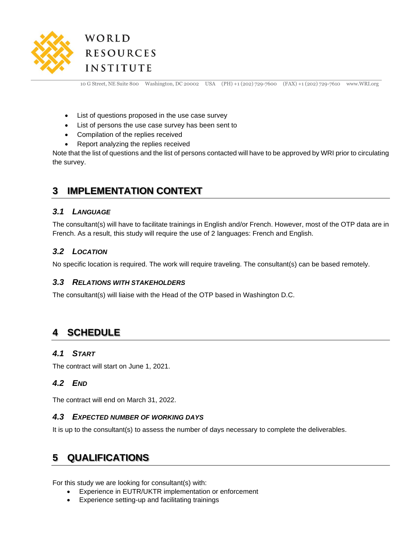

10 G Street, NE Suite 800 Washington, DC 20002 USA (PH) +1 (202) 729-7600 (FAX) +1 (202) 729-7610 www.WRI.org

- List of questions proposed in the use case survey
- List of persons the use case survey has been sent to
- Compilation of the replies received
- Report analyzing the replies received

Note that the list of questions and the list of persons contacted will have to be approved by WRI prior to circulating the survey.

## <span id="page-5-0"></span>**3 IMPLEMENTATION CONTEXT**

#### <span id="page-5-1"></span>*3.1 LANGUAGE*

The consultant(s) will have to facilitate trainings in English and/or French. However, most of the OTP data are in French. As a result, this study will require the use of 2 languages: French and English.

#### <span id="page-5-2"></span>*3.2 LOCATION*

<span id="page-5-3"></span>No specific location is required. The work will require traveling. The consultant(s) can be based remotely.

#### *3.3 RELATIONS WITH STAKEHOLDERS*

The consultant(s) will liaise with the Head of the OTP based in Washington D.C.

## <span id="page-5-4"></span>**4 SCHEDULE**

#### <span id="page-5-5"></span>*4.1 START*

<span id="page-5-6"></span>The contract will start on June 1, 2021.

#### *4.2 END*

<span id="page-5-7"></span>The contract will end on March 31, 2022.

#### *4.3 EXPECTED NUMBER OF WORKING DAYS*

It is up to the consultant(s) to assess the number of days necessary to complete the deliverables.

### <span id="page-5-8"></span>**5 QUALIFICATIONS**

For this study we are looking for consultant(s) with:

- Experience in EUTR/UKTR implementation or enforcement
- Experience setting-up and facilitating trainings